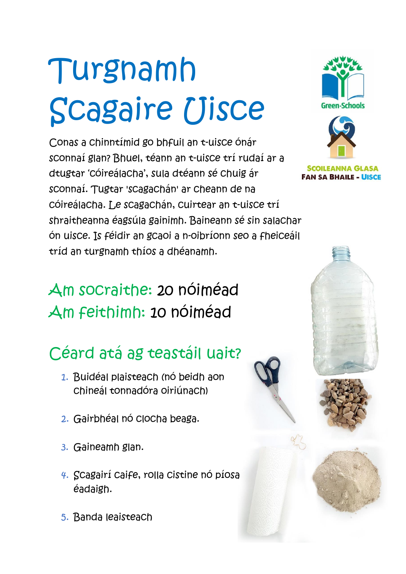# Turgnamh Scagaire Uisce

Conas a chinntímid go bhfuil an t-uisce ónár sconnaí glan? Bhuel, téann an t-uisce trí rudaí ar a dtugtar 'cóireálacha', sula dtéann sé chuig ár sconnaí. Tugtar 'scagachán' ar cheann de na cóireálacha. Le scagachán, cuirtear an t-uisce trí shraitheanna éagsúla gainimh. Baineann sé sin salachar ón uisce. Is féidir an gcaoi a n-oibríonn seo a fheiceáil tríd an turgnamh thíos a dhéanamh.

# **Green-Schools**

**SCOILEANNA GI FAN SA BHAILE - UISCE** 

### Am socraithe: 20 nóiméad Am feithimh: 10 nóiméad

# Céard atá ag teastáil uait?

- 1. Buidéal plaisteach (nó beidh aon chineál tonnadóra oiriúnach)
- 2. Gairbhéal nó clocha beaga.
- 3. Gaineamh glan.
- 4. Scagairí caife, rolla cistine nó píosa éadaigh.
- 5. Banda leaisteach